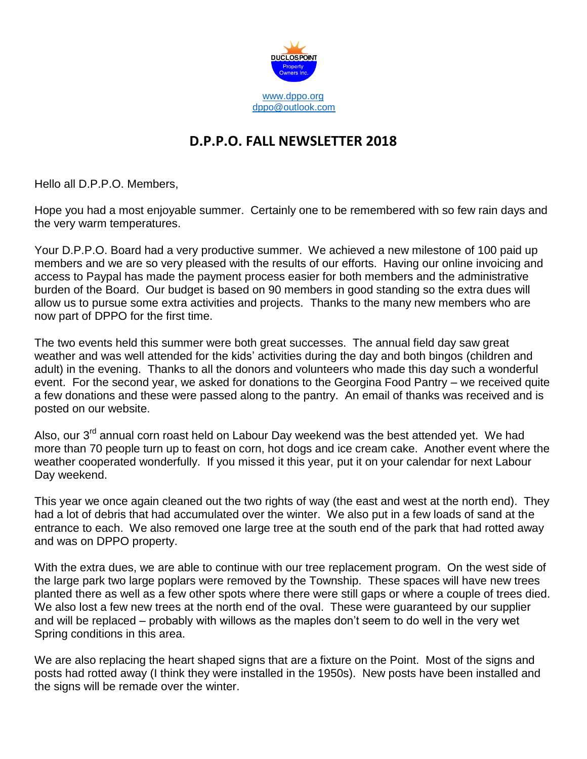

## **D.P.P.O. FALL NEWSLETTER 2018**

Hello all D.P.P.O. Members,

Hope you had a most enjoyable summer. Certainly one to be remembered with so few rain days and the very warm temperatures.

Your D.P.P.O. Board had a very productive summer. We achieved a new milestone of 100 paid up members and we are so very pleased with the results of our efforts. Having our online invoicing and access to Paypal has made the payment process easier for both members and the administrative burden of the Board. Our budget is based on 90 members in good standing so the extra dues will allow us to pursue some extra activities and projects. Thanks to the many new members who are now part of DPPO for the first time.

The two events held this summer were both great successes. The annual field day saw great weather and was well attended for the kids' activities during the day and both bingos (children and adult) in the evening. Thanks to all the donors and volunteers who made this day such a wonderful event. For the second year, we asked for donations to the Georgina Food Pantry – we received quite a few donations and these were passed along to the pantry. An email of thanks was received and is posted on our website.

Also, our 3<sup>rd</sup> annual corn roast held on Labour Day weekend was the best attended yet. We had more than 70 people turn up to feast on corn, hot dogs and ice cream cake. Another event where the weather cooperated wonderfully. If you missed it this year, put it on your calendar for next Labour Day weekend.

This year we once again cleaned out the two rights of way (the east and west at the north end). They had a lot of debris that had accumulated over the winter. We also put in a few loads of sand at the entrance to each. We also removed one large tree at the south end of the park that had rotted away and was on DPPO property.

With the extra dues, we are able to continue with our tree replacement program. On the west side of the large park two large poplars were removed by the Township. These spaces will have new trees planted there as well as a few other spots where there were still gaps or where a couple of trees died. We also lost a few new trees at the north end of the oval. These were guaranteed by our supplier and will be replaced – probably with willows as the maples don't seem to do well in the very wet Spring conditions in this area.

We are also replacing the heart shaped signs that are a fixture on the Point. Most of the signs and posts had rotted away (I think they were installed in the 1950s). New posts have been installed and the signs will be remade over the winter.